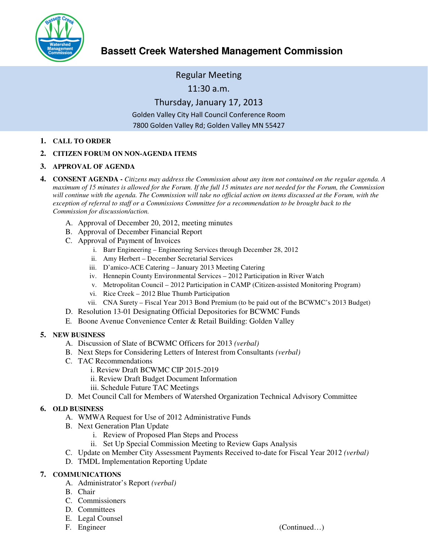

# **Bassett Creek Watershed Management Commission**

Regular Meeting

11:30 a.m.

Thursday, January 17, 2013 Golden Valley City Hall Council Conference Room 7800 Golden Valley Rd; Golden Valley MN 55427

- **1. CALL TO ORDER**
- **2. CITIZEN FORUM ON NON-AGENDA ITEMS**
- **3. APPROVAL OF AGENDA**
- **4. CONSENT AGENDA** *Citizens may address the Commission about any item not contained on the regular agenda. A maximum of 15 minutes is allowed for the Forum. If the full 15 minutes are not needed for the Forum, the Commission*  will continue with the agenda. The Commission will take no official action on items discussed at the Forum, with the *exception of referral to staff or a Commissions Committee for a recommendation to be brought back to the Commission for discussion/action.*
	- A. Approval of December 20, 2012, meeting minutes
	- B. Approval of December Financial Report
	- C. Approval of Payment of Invoices
		- i. Barr Engineering Engineering Services through December 28, 2012
		- ii. Amy Herbert December Secretarial Services
		- iii. D'amico-ACE Catering January 2013 Meeting Catering
		- iv. Hennepin County Environmental Services 2012 Participation in River Watch
		- v. Metropolitan Council 2012 Participation in CAMP (Citizen-assisted Monitoring Program)
		- vi. Rice Creek 2012 Blue Thumb Participation
		- vii. CNA Surety Fiscal Year 2013 Bond Premium (to be paid out of the BCWMC's 2013 Budget)
	- D. Resolution 13-01 Designating Official Depositories for BCWMC Funds
	- E. Boone Avenue Convenience Center & Retail Building: Golden Valley

# **5. NEW BUSINESS**

- A. Discussion of Slate of BCWMC Officers for 2013 *(verbal)*
- B. Next Steps for Considering Letters of Interest from Consultants *(verbal)*
- C. TAC Recommendations
	- i. Review Draft BCWMC CIP 2015-2019
	- ii. Review Draft Budget Document Information
	- iii. Schedule Future TAC Meetings
- D. Met Council Call for Members of Watershed Organization Technical Advisory Committee

# **6. OLD BUSINESS**

- A. WMWA Request for Use of 2012 Administrative Funds
- B. Next Generation Plan Update
	- i. Review of Proposed Plan Steps and Process
	- ii. Set Up Special Commission Meeting to Review Gaps Analysis
- C. Update on Member City Assessment Payments Received to-date for Fiscal Year 2012 *(verbal)*
- D. TMDL Implementation Reporting Update

# **7. COMMUNICATIONS**

- A. Administrator's Report *(verbal)*
- B. Chair
- C. Commissioners
- D. Committees
- E. Legal Counsel
-